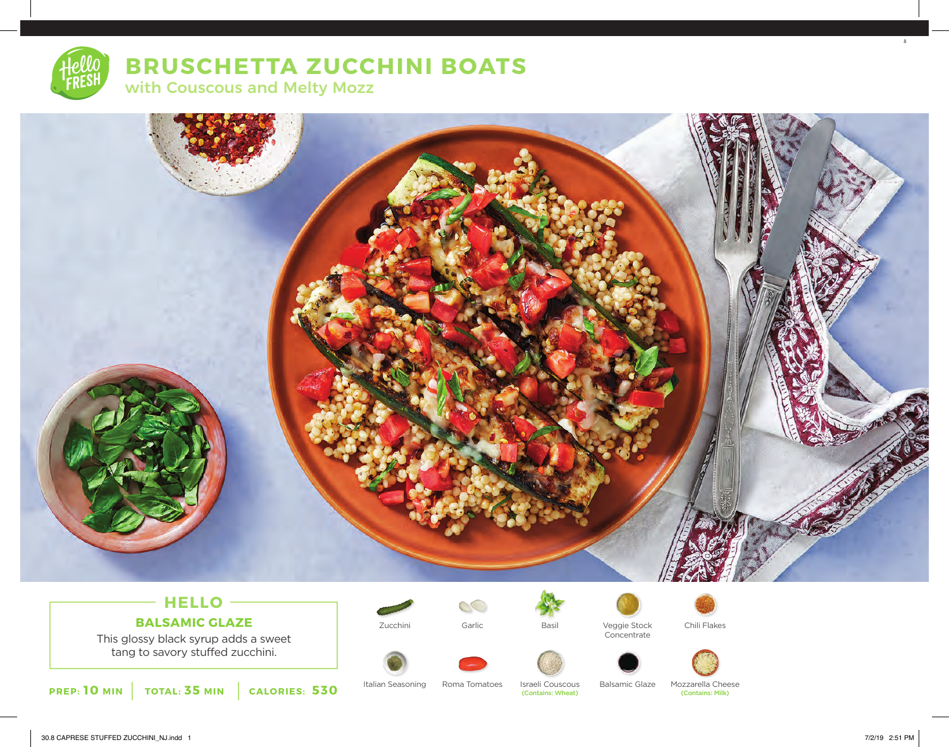

## **BRUSCHETTA ZUCCHINI BOATS**

with Couscous and Melty Mozz



## **HELLO BALSAMIC GLAZE**

This glossy black syrup adds a sweet tang to savory stuffed zucchini.

**PREP: 10 MIN TOTAL: 35 MIN CALORIES: 530**





Zucchini Veggie Stock Garlic Basil Chili Flakes **Concentrate** 



(Contains: Wheat)

Italian Seasoning Roma Tomatoes Israeli Couscous Balsamic Glaze Mozzarella Cheese<br>Contains: Wheat Montains: Wheat Contains: Milk)

8